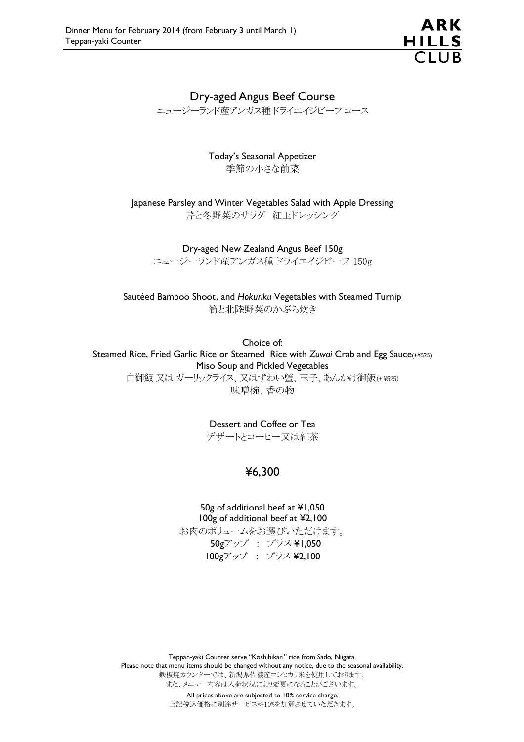

## Dry-aged Angus Beef Course

ニュージーランド産アンガス種 ドライエイジビーフ コース

Today's Seasonal Appetizer 季節の小さな前菜

Japanese Parsley and Winter Vegetables Salad with Apple Dressing 芹と冬野菜のサラダ 紅玉ドレッシング

Dry-aged New Zealand Angus Beef 150g

ニュージーランド産アンガス種 ドライエイジビーフ 150g

Sautéed Bamboo Shoot, and *Hokuriku* Vegetables with Steamed Turnip 筍と北陸野菜のかぶら炊き

Choice of: Steamed Rice, Fried Garlic Rice or Steamed Rice with *Zuwai* Crab and Egg Sauce(+¥525) Miso Soup and Pickled Vegetables 白御飯 又は ガーリックライス、又はずわい蟹、玉子、あんかけ御飯(+ ¥525) 味噌椀、香の物

Dessert and Coffee or Tea

デザートとコーヒー又は紅茶

# ¥6,300

50g of additional beef at ¥1,050 100g of additional beef at ¥2,100 お肉のボリュームをお選びいただけます。 50gアップ : プラス ¥1,050 100gアップ : プラス ¥2,100

Teppan-yaki Counter serve "Koshihikari" rice from Sado, Niigata. Please note that menu items should be changed without any notice, due to the seasonal availability. 鉄板焼カウンターでは、新潟県佐渡産コシヒカリ米を使用しております。 また、メニュー内容は入荷状況により変更になることがございます。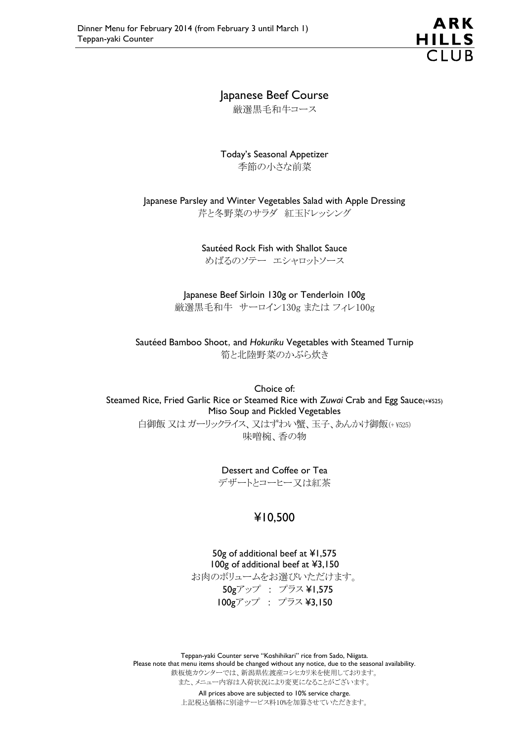

# Japanese Beef Course

厳選黒毛和牛コース

Today's Seasonal Appetizer 季節の小さな前菜

Japanese Parsley and Winter Vegetables Salad with Apple Dressing 芹と冬野菜のサラダ 紅玉ドレッシング

> Sautéed Rock Fish with Shallot Sauce めばるのソテー エシャロットソース

Japanese Beef Sirloin 130g or Tenderloin 100g 厳選黒毛和牛 サーロイン130g または フィレ100g

Sautéed Bamboo Shoot, and *Hokuriku* Vegetables with Steamed Turnip 筍と北陸野菜のかぶら炊き

Choice of: Steamed Rice, Fried Garlic Rice or Steamed Rice with *Zuwai* Crab and Egg Sauce(+¥525) Miso Soup and Pickled Vegetables 白御飯 又は ガーリックライス、又はずわい蟹、玉子、あんかけ御飯(+ ¥525) 味噌椀、香の物

> Dessert and Coffee or Tea デザートとコーヒー又は紅茶

## ¥10,500

50g of additional beef at ¥1,575 100g of additional beef at ¥3,150 お肉のボリュームをお選びいただけます。 50gアップ : プラス ¥1,575 100gアップ : プラス ¥3,150

Teppan-yaki Counter serve "Koshihikari" rice from Sado, Niigata. Please note that menu items should be changed without any notice, due to the seasonal availability. 鉄板焼カウンターでは、新潟県佐渡産コシヒカリ米を使用しております。 また、メニュー内容は入荷状況により変更になることがございます。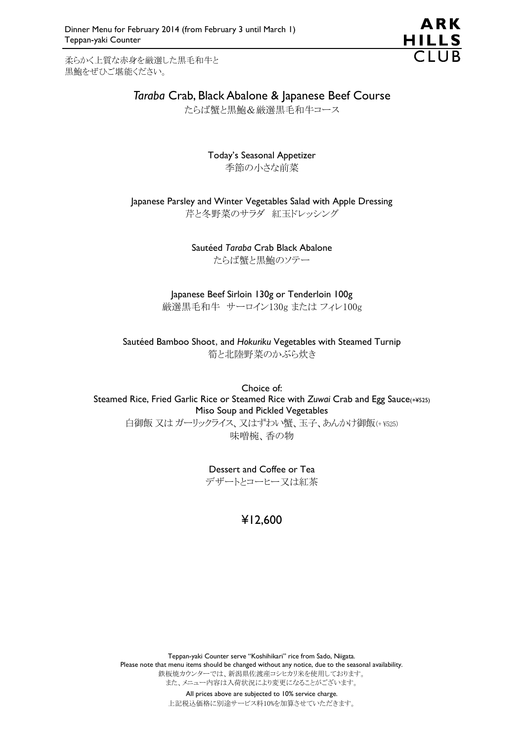柔らかく上質な赤身を厳選した黒毛和牛と 黒鮑をぜひご堪能ください。



# *Taraba* Crab, Black Abalone & Japanese Beef Course

たらば蟹と黒鮑&厳選黒毛和牛コース

Today's Seasonal Appetizer 季節の小さな前菜

Japanese Parsley and Winter Vegetables Salad with Apple Dressing 芹と冬野菜のサラダ 紅玉ドレッシング

> Sautéed *Taraba* Crab Black Abalone たらば蟹と黒鮑のソテー

#### Japanese Beef Sirloin 130g or Tenderloin 100g 厳選黒毛和牛 サーロイン130g または フィレ100g

Sautéed Bamboo Shoot, and *Hokuriku* Vegetables with Steamed Turnip 筍と北陸野菜のかぶら炊き

Choice of: Steamed Rice, Fried Garlic Rice or Steamed Rice with *Zuwai* Crab and Egg Sauce(+¥525) Miso Soup and Pickled Vegetables 白御飯 又は ガーリックライス、又はずわい蟹、玉子、あんかけ御飯(+ ¥525) 味噌椀、香の物

> Dessert and Coffee or Tea デザートとコーヒー又は紅茶

> > ¥12,600

Teppan-yaki Counter serve "Koshihikari" rice from Sado, Niigata. Please note that menu items should be changed without any notice, due to the seasonal availability. 鉄板焼カウンターでは、新潟県佐渡産コシヒカリ米を使用しております。 また、メニュー内容は入荷状況により変更になることがございます。 All prices above are subjected to 10% service charge.

上記税込価格に別途サービス料10%を加算させていただきます。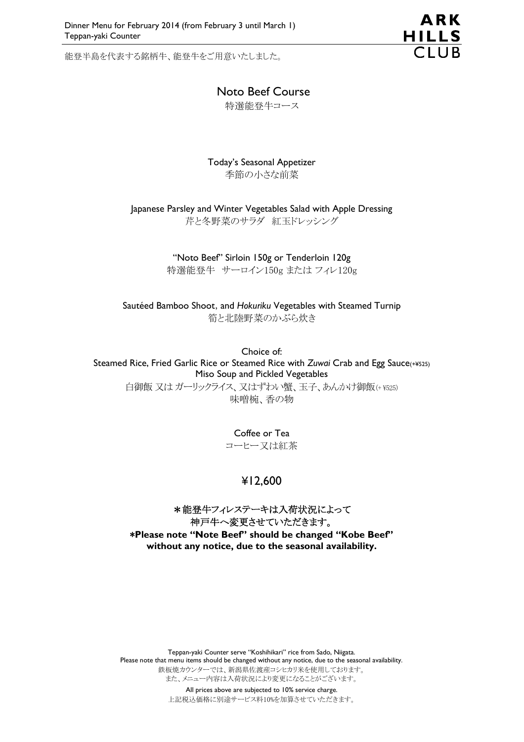能登半島を代表する銘柄牛、能登牛をご用意いたしました。



### Noto Beef Course

特選能登牛コース

#### Today's Seasonal Appetizer 季節の小さな前菜

Japanese Parsley and Winter Vegetables Salad with Apple Dressing 芹と冬野菜のサラダ 紅玉ドレッシング

> "Noto Beef" Sirloin 150g or Tenderloin 120g 特選能登牛 サーロイン150g または フィレ120g

Sautéed Bamboo Shoot, and *Hokuriku* Vegetables with Steamed Turnip 筍と北陸野菜のかぶら炊き

Choice of: Steamed Rice, Fried Garlic Rice or Steamed Rice with *Zuwai* Crab and Egg Sauce(+¥525) Miso Soup and Pickled Vegetables 白御飯 又は ガーリックライス、又はずわい蟹、玉子、あんかけ御飯(+ ¥525) 味噌椀、香の物

> Coffee or Tea コーヒー又は紅茶

## ¥12,600

#### \*能登牛フィレステーキは入荷状況によって 神戸牛へ変更させていただきます。 \***Please note "Note Beef" should be changed "Kobe Beef" without any notice, due to the seasonal availability.**

Teppan-yaki Counter serve "Koshihikari" rice from Sado, Niigata. Please note that menu items should be changed without any notice, due to the seasonal availability. 鉄板焼カウンターでは、新潟県佐渡産コシヒカリ米を使用しております。 また、メニュー内容は入荷状況により変更になることがございます。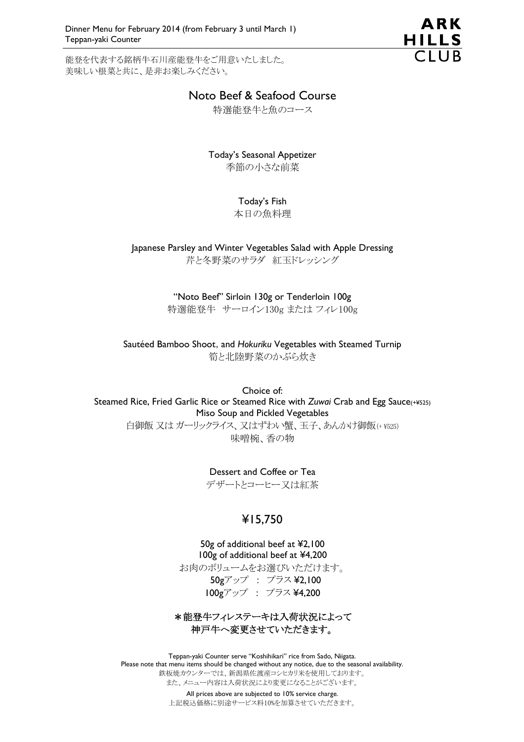能登を代表する銘柄牛石川産能登牛をご用意いたしました。 美味しい根菜と共に、是非お楽しみください。



## Noto Beef & Seafood Course

特選能登牛と魚のコース

Today's Seasonal Appetizer 季節の小さな前菜

#### Today's Fish

本日の魚料理

Japanese Parsley and Winter Vegetables Salad with Apple Dressing 芹と冬野菜のサラダ 紅玉ドレッシング

> "Noto Beef" Sirloin 130g or Tenderloin 100g 特選能登牛 サーロイン130g または フィレ100g

Sautéed Bamboo Shoot, and *Hokuriku* Vegetables with Steamed Turnip 筍と北陸野菜のかぶら炊き

Choice of: Steamed Rice, Fried Garlic Rice or Steamed Rice with *Zuwai* Crab and Egg Sauce(+¥525) Miso Soup and Pickled Vegetables 白御飯 又は ガーリックライス、又はずわい蟹、玉子、あんかけ御飯(+ ¥525) 味噌椀、香の物

#### Dessert and Coffee or Tea

デザートとコーヒー又は紅茶

## ¥15,750

50g of additional beef at ¥2,100 100g of additional beef at ¥4,200 お肉のボリュームをお選びいただけます。 50gアップ : プラス ¥2,100 100gアップ : プラス ¥4,200

\*能登牛フィレステーキは入荷状況によって 神戸牛へ変更させていただきます。

Teppan-yaki Counter serve "Koshihikari" rice from Sado, Niigata. Please note that menu items should be changed without any notice, due to the seasonal availability. 鉄板焼カウンターでは、新潟県佐渡産コシヒカリ米を使用しております。 また、メニュー内容は入荷状況により変更になることがございます。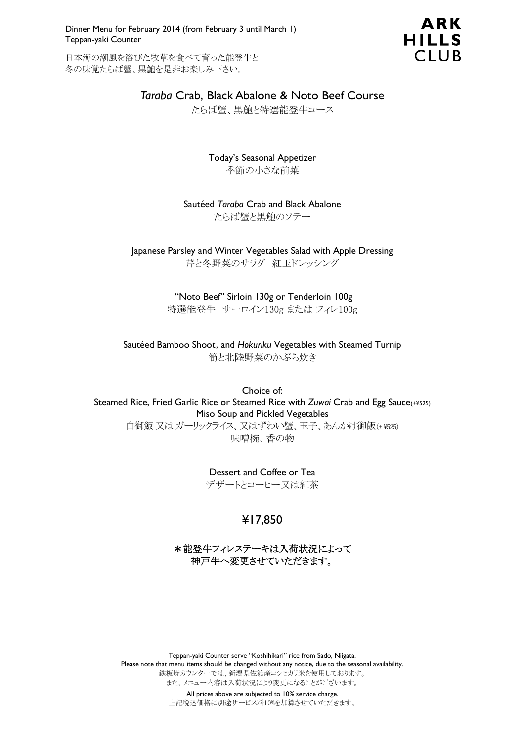日本海の潮風を浴びた牧草を食べて育った能登牛と 冬の味覚たらば蟹、黒鮑を是非お楽しみ下さい。



## *Taraba* Crab, Black Abalone & Noto Beef Course

たらば蟹、黒鮑と特選能登牛コース

Today's Seasonal Appetizer 季節の小さな前菜

Sautéed *Taraba* Crab and Black Abalone たらば蟹と黒鮑のソテー

Japanese Parsley and Winter Vegetables Salad with Apple Dressing 芹と冬野菜のサラダ 紅玉ドレッシング

> "Noto Beef" Sirloin 130g or Tenderloin 100g 特選能登牛 サーロイン130g または フィレ100g

Sautéed Bamboo Shoot, and *Hokuriku* Vegetables with Steamed Turnip 筍と北陸野菜のかぶら炊き

Choice of: Steamed Rice, Fried Garlic Rice or Steamed Rice with *Zuwai* Crab and Egg Sauce(+¥525) Miso Soup and Pickled Vegetables 白御飯 又は ガーリックライス、又はずわい蟹、玉子、あんかけ御飯(+ ¥525) 味噌椀、香の物

> Dessert and Coffee or Tea デザートとコーヒー又は紅茶

# ¥17,850

### \*能登牛フィレステーキは入荷状況によって 神戸牛へ変更させていただきます。

Teppan-yaki Counter serve "Koshihikari" rice from Sado, Niigata. Please note that menu items should be changed without any notice, due to the seasonal availability. 鉄板焼カウンターでは、新潟県佐渡産コシヒカリ米を使用しております。 また、メニュー内容は入荷状況により変更になることがございます。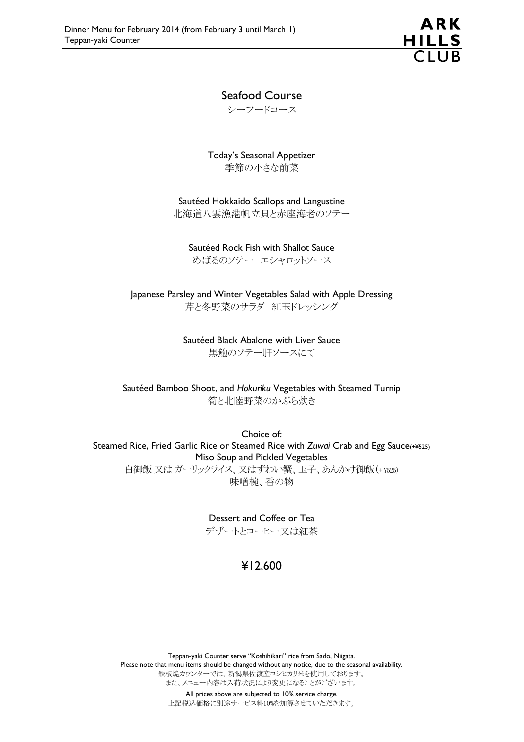

### Seafood Course

シーフードコース

Today's Seasonal Appetizer 季節の小さな前菜

Sautéed Hokkaido Scallops and Langustine 北海道八雲漁港帆立貝と赤座海老のソテー

Sautéed Rock Fish with Shallot Sauce めばるのソテー エシャロットソース

Japanese Parsley and Winter Vegetables Salad with Apple Dressing 芹と冬野菜のサラダ 紅玉ドレッシング

> Sautéed Black Abalone with Liver Sauce 黒鮑のソテー肝ソースにて

Sautéed Bamboo Shoot, and *Hokuriku* Vegetables with Steamed Turnip 筍と北陸野菜のかぶら炊き

Choice of: Steamed Rice, Fried Garlic Rice or Steamed Rice with *Zuwai* Crab and Egg Sauce(+¥525) Miso Soup and Pickled Vegetables 白御飯 又は ガーリックライス、又はずわい蟹、玉子、あんかけ御飯 (+ ¥525) 味噌椀、香の物

> Dessert and Coffee or Tea デザートとコーヒー又は紅茶

## ¥12,600

Teppan-yaki Counter serve "Koshihikari" rice from Sado, Niigata. Please note that menu items should be changed without any notice, due to the seasonal availability. 鉄板焼カウンターでは、新潟県佐渡産コシヒカリ米を使用しております。 また、メニュー内容は入荷状況により変更になることがございます。 All prices above are subjected to 10% service charge.

上記税込価格に別途サービス料10%を加算させていただきます。